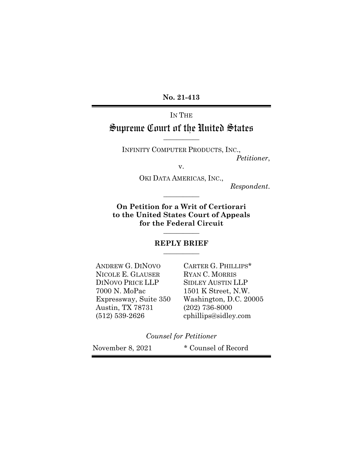**No. 21-413**

# IN THE Supreme Court of the United States

**\_\_\_\_\_\_\_\_\_\_\_**

INFINITY COMPUTER PRODUCTS, INC., *Petitioner*,

v.

OKI DATA AMERICAS, INC.,

**\_\_\_\_\_\_\_\_\_\_\_**

*Respondent*.

**On Petition for a Writ of Certiorari to the United States Court of Appeals for the Federal Circuit**

#### **REPLY BRIEF \_\_\_\_\_\_\_\_\_\_\_**

**\_\_\_\_\_\_\_\_\_\_\_**

ANDREW G. DINOVO CARTER G. PHILLIPS\* NICOLE E. GLAUSER RYAN C. MORRIS DINOVO PRICE LLP SIDLEY AUSTIN LLP 7000 N. MoPac 1501 K Street, N.W. Austin, TX 78731 (202) 736-8000 (512) 539-2626 cphillips@sidley.com

Expressway, Suite 350 Washington, D.C. 20005

*Counsel for Petitioner*

November 8, 2021 \* Counsel of Record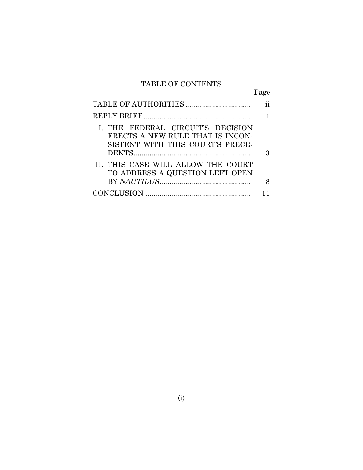# TABLE OF CONTENTS

Page

| I. THE FEDERAL CIRCUIT'S DECISION<br>ERECTS A NEW RULE THAT IS INCON-<br>SISTENT WITH THIS COURT'S PRECE- | З |
|-----------------------------------------------------------------------------------------------------------|---|
| II. THIS CASE WILL ALLOW THE COURT<br>TO ADDRESS A QUESTION LEFT OPEN                                     |   |
|                                                                                                           |   |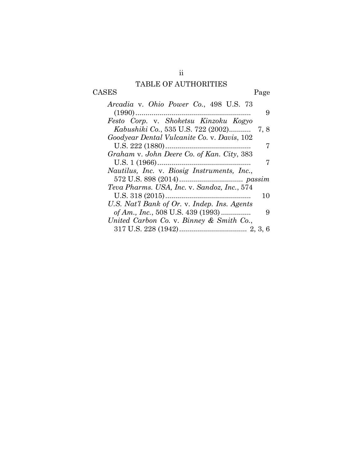## TABLE OF AUTHORITIES CASES Page

| Arcadia v. Ohio Power Co., 498 U.S. 73       |      |
|----------------------------------------------|------|
|                                              | 9    |
| Festo Corp. v. Shoketsu Kinzoku Kogyo        |      |
| Kabushiki Co., 535 U.S. 722 (2002)           | 7, 8 |
| Goodyear Dental Vulcanite Co. v. Davis, 102  |      |
|                                              |      |
| Graham v. John Deere Co. of Kan. City, 383   |      |
|                                              |      |
| Nautilus, Inc. v. Biosig Instruments, Inc.,  |      |
|                                              |      |
| Teva Pharms. USA, Inc. v. Sandoz, Inc., 574  |      |
|                                              |      |
|                                              | 10   |
| U.S. Nat'l Bank of Or. v. Indep. Ins. Agents |      |
| of Am., Inc., 508 U.S. 439 (1993)            | 9    |
| United Carbon Co. v. Binney & Smith Co.,     |      |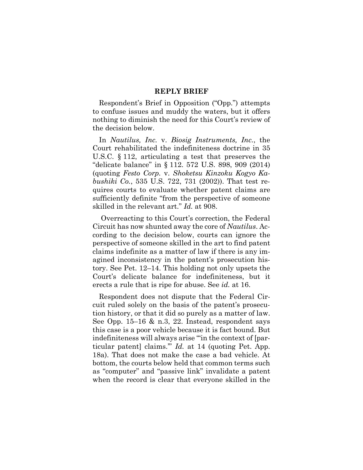#### **REPLY BRIEF**

Respondent's Brief in Opposition ("Opp.") attempts to confuse issues and muddy the waters, but it offers nothing to diminish the need for this Court's review of the decision below.

<span id="page-3-0"></span>In *Nautilus, Inc.* v. *Biosig Instruments, Inc.*, the Court rehabilitated the indefiniteness doctrine in 35 U.S.C. § 112, articulating a test that preserves the "delicate balance" in § 112. 572 U.S. 898, 909 (2014) (quoting *Festo Corp.* v. *Shoketsu Kinzoku Kogyo Kabushiki Co.*, 535 U.S. 722, 731 (2002)). That test requires courts to evaluate whether patent claims are sufficiently definite "from the perspective of someone skilled in the relevant art." *Id.* at 908.

Overreacting to this Court's correction, the Federal Circuit has now shunted away the core of *Nautilus*. According to the decision below, courts can ignore the perspective of someone skilled in the art to find patent claims indefinite as a matter of law if there is any imagined inconsistency in the patent's prosecution history. See Pet. 12–14. This holding not only upsets the Court's delicate balance for indefiniteness, but it erects a rule that is ripe for abuse. See *id.* at 16.

Respondent does not dispute that the Federal Circuit ruled solely on the basis of the patent's prosecution history, or that it did so purely as a matter of law. See Opp. 15–16 & n.3, 22. Instead, respondent says this case is a poor vehicle because it is fact bound. But indefiniteness will always arise ""in the context of [particular patent] claims.'" *Id.* at 14 (quoting Pet. App. 18a). That does not make the case a bad vehicle. At bottom, the courts below held that common terms such as "computer" and "passive link" invalidate a patent when the record is clear that everyone skilled in the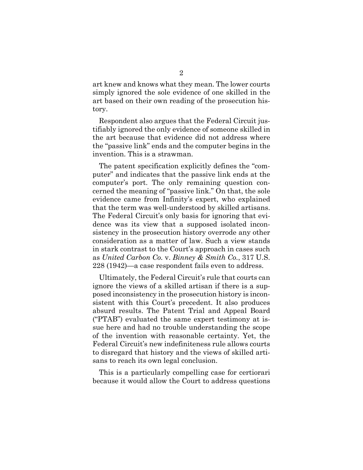art knew and knows what they mean. The lower courts simply ignored the sole evidence of one skilled in the art based on their own reading of the prosecution history.

Respondent also argues that the Federal Circuit justifiably ignored the only evidence of someone skilled in the art because that evidence did not address where the "passive link" ends and the computer begins in the invention. This is a strawman.

The patent specification explicitly defines the "computer" and indicates that the passive link ends at the computer's port. The only remaining question concerned the meaning of "passive link." On that, the sole evidence came from Infinity's expert, who explained that the term was well-understood by skilled artisans. The Federal Circuit's only basis for ignoring that evidence was its view that a supposed isolated inconsistency in the prosecution history overrode any other consideration as a matter of law. Such a view stands in stark contrast to the Court's approach in cases such as *United Carbon Co.* v. *Binney & Smith Co.*, 317 U.S. 228 (1942)—a case respondent fails even to address.

Ultimately, the Federal Circuit's rule that courts can ignore the views of a skilled artisan if there is a supposed inconsistency in the prosecution history is inconsistent with this Court's precedent. It also produces absurd results. The Patent Trial and Appeal Board ("PTAB") evaluated the same expert testimony at issue here and had no trouble understanding the scope of the invention with reasonable certainty. Yet, the Federal Circuit's new indefiniteness rule allows courts to disregard that history and the views of skilled artisans to reach its own legal conclusion.

This is a particularly compelling case for certiorari because it would allow the Court to address questions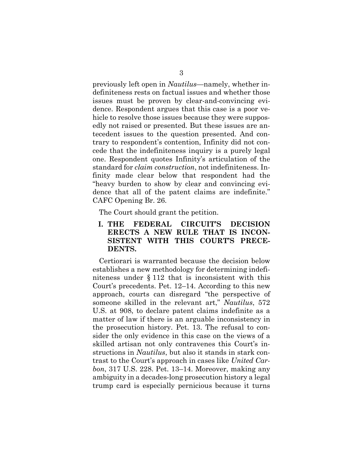previously left open in *Nautilus*—namely, whether indefiniteness rests on factual issues and whether those issues must be proven by clear-and-convincing evidence. Respondent argues that this case is a poor vehicle to resolve those issues because they were supposedly not raised or presented. But these issues are antecedent issues to the question presented. And contrary to respondent's contention, Infinity did not concede that the indefiniteness inquiry is a purely legal one. Respondent quotes Infinity's articulation of the standard for *claim construction*, not indefiniteness. Infinity made clear below that respondent had the "heavy burden to show by clear and convincing evidence that all of the patent claims are indefinite." CAFC Opening Br. 26.

The Court should grant the petition.

### **I. THE FEDERAL CIRCUIT'S DECISION ERECTS A NEW RULE THAT IS INCON-SISTENT WITH THIS COURT'S PRECE-DENTS.**

Certiorari is warranted because the decision below establishes a new methodology for determining indefiniteness under § 112 that is inconsistent with this Court's precedents. Pet. 12–14. According to this new approach, courts can disregard "the perspective of someone skilled in the relevant art," *Nautilus*, 572 U.S. at 908, to declare patent claims indefinite as a matter of law if there is an arguable inconsistency in the prosecution history. Pet. 13. The refusal to consider the only evidence in this case on the views of a skilled artisan not only contravenes this Court's instructions in *Nautilus*, but also it stands in stark contrast to the Court's approach in cases like *United Carbon*, 317 U.S. 228. Pet. 13–14. Moreover, making any ambiguity in a decades-long prosecution history a legal trump card is especially pernicious because it turns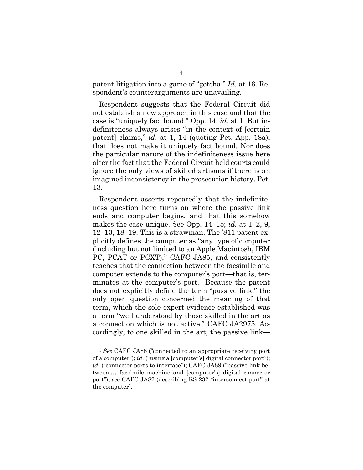patent litigation into a game of "gotcha." *Id.* at 16. Respondent's counterarguments are unavailing.

Respondent suggests that the Federal Circuit did not establish a new approach in this case and that the case is "uniquely fact bound." Opp. 14; *id.* at 1. But indefiniteness always arises "in the context of [certain patent] claims," *id.* at 1, 14 (quoting Pet. App. 18a); that does not make it uniquely fact bound. Nor does the particular nature of the indefiniteness issue here alter the fact that the Federal Circuit held courts could ignore the only views of skilled artisans if there is an imagined inconsistency in the prosecution history. Pet. 13.

Respondent asserts repeatedly that the indefiniteness question here turns on where the passive link ends and computer begins, and that this somehow makes the case unique. See Opp. 14–15; *id.* at 1–2, 9, 12–13, 18–19. This is a strawman. The '811 patent explicitly defines the computer as "any type of computer (including but not limited to an Apple Macintosh, IBM PC, PCAT or PCXT)," CAFC JA85, and consistently teaches that the connection between the facsimile and computer extends to the computer's port—that is, ter-minates at the computer's port.<sup>[1](#page-6-0)</sup> Because the patent does not explicitly define the term "passive link," the only open question concerned the meaning of that term, which the sole expert evidence established was a term "well understood by those skilled in the art as a connection which is not active." CAFC JA2975. Accordingly, to one skilled in the art, the passive link—

<span id="page-6-0"></span><sup>1</sup> *See* CAFC JA88 ("connected to an appropriate receiving port of a computer"); *id.* ("using a [computer's] digital connector port"); *id.* ("connector ports to interface"); CAFC JA89 ("passive link between … facsimile machine and [computer's] digital connector port"); *see* CAFC JA87 (describing RS 232 "interconnect port" at the computer).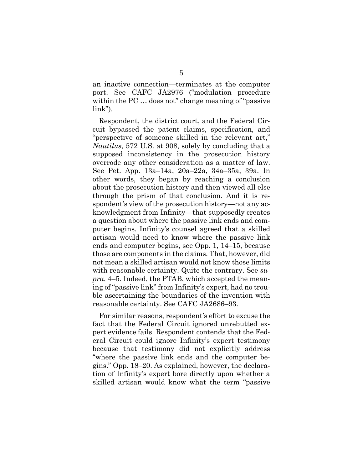an inactive connection—terminates at the computer port. See CAFC JA2976 ("modulation procedure within the PC … does not" change meaning of "passive link").

Respondent, the district court, and the Federal Circuit bypassed the patent claims, specification, and "perspective of someone skilled in the relevant art," *Nautilus*, 572 U.S. at 908, solely by concluding that a supposed inconsistency in the prosecution history overrode any other consideration as a matter of law. See Pet. App. 13a–14a, 20a–22a, 34a–35a, 39a. In other words, they began by reaching a conclusion about the prosecution history and then viewed all else through the prism of that conclusion. And it is respondent's view of the prosecution history—not any acknowledgment from Infinity—that supposedly creates a question about where the passive link ends and computer begins. Infinity's counsel agreed that a skilled artisan would need to know where the passive link ends and computer begins, see Opp. 1, 14–15, because those are components in the claims. That, however, did not mean a skilled artisan would not know those limits with reasonable certainty. Quite the contrary. See *supra*, 4–5. Indeed, the PTAB, which accepted the meaning of "passive link" from Infinity's expert, had no trouble ascertaining the boundaries of the invention with reasonable certainty. See CAFC JA2686–93.

For similar reasons, respondent's effort to excuse the fact that the Federal Circuit ignored unrebutted expert evidence fails. Respondent contends that the Federal Circuit could ignore Infinity's expert testimony because that testimony did not explicitly address "where the passive link ends and the computer begins." Opp. 18–20. As explained, however, the declaration of Infinity's expert bore directly upon whether a skilled artisan would know what the term "passive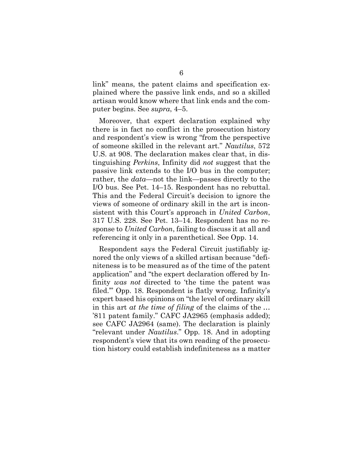link" means, the patent claims and specification explained where the passive link ends, and so a skilled artisan would know where that link ends and the computer begins. See *supra*, 4–5.

Moreover, that expert declaration explained why there is in fact no conflict in the prosecution history and respondent's view is wrong "from the perspective of someone skilled in the relevant art." *Nautilus*, 572 U.S. at 908. The declaration makes clear that, in distinguishing *Perkins*, Infinity did *not* suggest that the passive link extends to the I/O bus in the computer; rather, the *data*—not the link—passes directly to the I/O bus. See Pet. 14–15. Respondent has no rebuttal. This and the Federal Circuit's decision to ignore the views of someone of ordinary skill in the art is inconsistent with this Court's approach in *United Carbon*, 317 U.S. 228. See Pet. 13–14. Respondent has no response to *United Carbon*, failing to discuss it at all and referencing it only in a parenthetical. See Opp. 14.

Respondent says the Federal Circuit justifiably ignored the only views of a skilled artisan because "definiteness is to be measured as of the time of the patent application" and "the expert declaration offered by Infinity *was not* directed to 'the time the patent was filed.'" Opp. 18. Respondent is flatly wrong. Infinity's expert based his opinions on "the level of ordinary skill in this art *at the time of filing* of the claims of the … '811 patent family." CAFC JA2965 (emphasis added); see CAFC JA2964 (same). The declaration is plainly "relevant under *Nautilus*." Opp. 18. And in adopting respondent's view that its own reading of the prosecution history could establish indefiniteness as a matter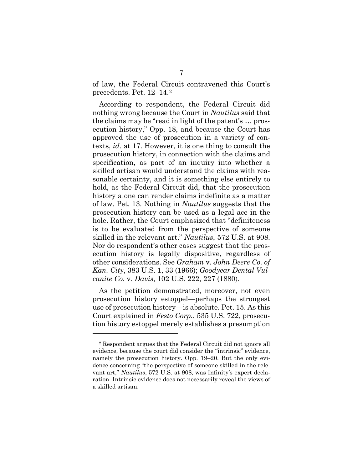of law, the Federal Circuit contravened this Court's precedents. Pet. 12–14.[2](#page-9-3)

According to respondent, the Federal Circuit did nothing wrong because the Court in *Nautilus* said that the claims may be "read in light of the patent's … prosecution history," Opp. 18, and because the Court has approved the use of prosecution in a variety of contexts, *id.* at 17. However, it is one thing to consult the prosecution history, in connection with the claims and specification, as part of an inquiry into whether a skilled artisan would understand the claims with reasonable certainty, and it is something else entirely to hold, as the Federal Circuit did, that the prosecution history alone can render claims indefinite as a matter of law. Pet. 13. Nothing in *Nautilus* suggests that the prosecution history can be used as a legal ace in the hole. Rather, the Court emphasized that "definiteness is to be evaluated from the perspective of someone skilled in the relevant art." *Nautilus*, 572 U.S. at 908. Nor do respondent's other cases suggest that the prosecution history is legally dispositive, regardless of other considerations. See *Graham* v. *John Deere Co. of Kan. City*, 383 U.S. 1, 33 (1966); *Goodyear Dental Vulcanite Co.* v. *Davis*, 102 U.S. 222, 227 (1880).

<span id="page-9-2"></span><span id="page-9-1"></span><span id="page-9-0"></span>As the petition demonstrated, moreover, not even prosecution history estoppel—perhaps the strongest use of prosecution history—is absolute. Pet. 15. As this Court explained in *Festo Corp.*, 535 U.S. 722, prosecution history estoppel merely establishes a presumption

<span id="page-9-3"></span><sup>2</sup> Respondent argues that the Federal Circuit did not ignore all evidence, because the court did consider the "intrinsic" evidence, namely the prosecution history. Opp. 19–20. But the only evidence concerning "the perspective of someone skilled in the relevant art," *Nautilus*, 572 U.S. at 908, was Infinity's expert declaration. Intrinsic evidence does not necessarily reveal the views of a skilled artisan.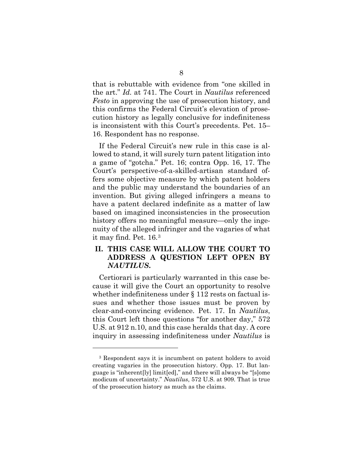that is rebuttable with evidence from "one skilled in the art." *Id.* at 741. The Court in *Nautilus* referenced *Festo* in approving the use of prosecution history, and this confirms the Federal Circuit's elevation of prosecution history as legally conclusive for indefiniteness is inconsistent with this Court's precedents. Pet. 15– 16. Respondent has no response.

If the Federal Circuit's new rule in this case is allowed to stand, it will surely turn patent litigation into a game of "gotcha." Pet. 16; contra Opp. 16, 17. The Court's perspective-of-a-skilled-artisan standard offers some objective measure by which patent holders and the public may understand the boundaries of an invention. But giving alleged infringers a means to have a patent declared indefinite as a matter of law based on imagined inconsistencies in the prosecution history offers no meaningful measure—only the ingenuity of the alleged infringer and the vagaries of what it may find. Pet. 16.[3](#page-10-0)

## **II. THIS CASE WILL ALLOW THE COURT TO ADDRESS A QUESTION LEFT OPEN BY**  *NAUTILUS***.**

Certiorari is particularly warranted in this case because it will give the Court an opportunity to resolve whether indefiniteness under § 112 rests on factual issues and whether those issues must be proven by clear-and-convincing evidence. Pet. 17. In *Nautilus*, this Court left those questions "for another day," 572 U.S. at 912 n.10, and this case heralds that day. A core inquiry in assessing indefiniteness under *Nautilus* is

<span id="page-10-0"></span><sup>3</sup> Respondent says it is incumbent on patent holders to avoid creating vagaries in the prosecution history. Opp. 17. But language is "inherent[ly] limit[ed]," and there will always be "[s]ome modicum of uncertainty." *Nautilus*, 572 U.S. at 909. That is true of the prosecution history as much as the claims.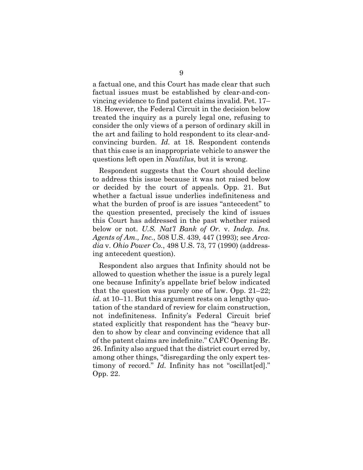a factual one, and this Court has made clear that such factual issues must be established by clear-and-convincing evidence to find patent claims invalid. Pet. 17– 18. However, the Federal Circuit in the decision below treated the inquiry as a purely legal one, refusing to consider the only views of a person of ordinary skill in the art and failing to hold respondent to its clear-andconvincing burden. *Id.* at 18. Respondent contends that this case is an inappropriate vehicle to answer the questions left open in *Nautilus*, but it is wrong.

Respondent suggests that the Court should decline to address this issue because it was not raised below or decided by the court of appeals. Opp. 21. But whether a factual issue underlies indefiniteness and what the burden of proof is are issues "antecedent" to the question presented, precisely the kind of issues this Court has addressed in the past whether raised below or not. *U.S. Nat'l Bank of Or.* v. *Indep. Ins. Agents of Am., Inc.*, 508 U.S. 439, 447 (1993); see *Arcadia* v. *Ohio Power Co.*, 498 U.S. 73, 77 (1990) (addressing antecedent question).

<span id="page-11-1"></span><span id="page-11-0"></span>Respondent also argues that Infinity should not be allowed to question whether the issue is a purely legal one because Infinity's appellate brief below indicated that the question was purely one of law. Opp. 21–22; *id.* at 10–11. But this argument rests on a lengthy quotation of the standard of review for claim construction, not indefiniteness. Infinity's Federal Circuit brief stated explicitly that respondent has the "heavy burden to show by clear and convincing evidence that all of the patent claims are indefinite." CAFC Opening Br. 26. Infinity also argued that the district court erred by, among other things, "disregarding the only expert testimony of record." *Id.* Infinity has not "oscillat [ed]." Opp. 22.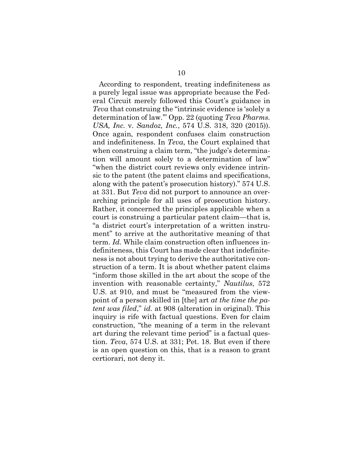According to respondent, treating indefiniteness as a purely legal issue was appropriate because the Federal Circuit merely followed this Court's guidance in *Teva* that construing the "intrinsic evidence is 'solely a determination of law.'" Opp. 22 (quoting *Teva Pharms. USA, Inc.* v. *Sandoz, Inc.*, 574 U.S. 318, 320 (2015)). Once again, respondent confuses claim construction and indefiniteness. In *Teva*, the Court explained that when construing a claim term, "the judge's determination will amount solely to a determination of law" "when the district court reviews only evidence intrinsic to the patent (the patent claims and specifications, along with the patent's prosecution history)." 574 U.S. at 331. But *Teva* did not purport to announce an overarching principle for all uses of prosecution history. Rather, it concerned the principles applicable when a court is construing a particular patent claim—that is, "a district court's interpretation of a written instrument" to arrive at the authoritative meaning of that term. *Id.* While claim construction often influences indefiniteness, this Court has made clear that indefiniteness is not about trying to derive the authoritative construction of a term. It is about whether patent claims "inform those skilled in the art about the scope of the invention with reasonable certainty," *Nautilus*, 572 U.S. at 910, and must be "measured from the viewpoint of a person skilled in [the] art *at the time the patent was filed*," *id.* at 908 (alteration in original). This inquiry is rife with factual questions. Even for claim construction, "the meaning of a term in the relevant art during the relevant time period" is a factual question. *Teva*, 574 U.S. at 331; Pet. 18. But even if there is an open question on this, that is a reason to grant certiorari, not deny it.